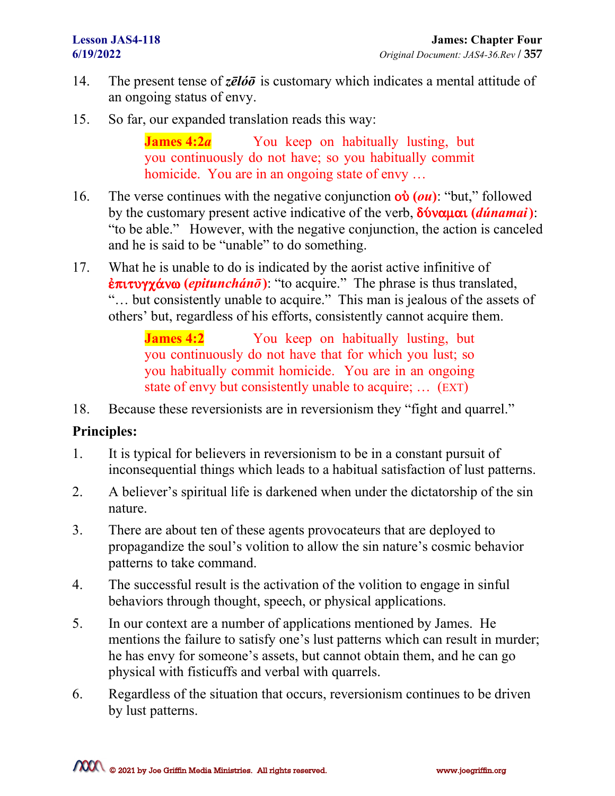- 14. The present tense of *zēlóō* is customary which indicates a mental attitude of an ongoing status of envy.
- 15. So far, our expanded translation reads this way:

**James 4:2***a* You keep on habitually lusting, but you continuously do not have; so you habitually commit homicide. You are in an ongoing state of envy ...

- 16. The verse continues with the negative conjunction  $\phi \phi(u)$ : "but," followed by the customary present active indicative of the verb,  $\delta \acute{v}$ vauat (*dúnamai*): "to be able." However, with the negative conjunction, the action is canceled and he is said to be "unable" to do something.
- 17. What he is unable to do is indicated by the aorist active infinitive of  $\frac{\partial \pi}{\partial y}$   $\frac{\partial \gamma}{\partial x}$   $\frac{\partial \gamma}{\partial y}$  (*epitunchánō*): "to acquire." The phrase is thus translated, "… but consistently unable to acquire." This man is jealous of the assets of others' but, regardless of his efforts, consistently cannot acquire them.

**James 4:2** You keep on habitually lusting, but you continuously do not have that for which you lust; so you habitually commit homicide. You are in an ongoing state of envy but consistently unable to acquire; … (EXT)

18. Because these reversionists are in reversionism they "fight and quarrel."

## **Principles:**

- 1. It is typical for believers in reversionism to be in a constant pursuit of inconsequential things which leads to a habitual satisfaction of lust patterns.
- 2. A believer's spiritual life is darkened when under the dictatorship of the sin nature.
- 3. There are about ten of these agents provocateurs that are deployed to propagandize the soul's volition to allow the sin nature's cosmic behavior patterns to take command.
- 4. The successful result is the activation of the volition to engage in sinful behaviors through thought, speech, or physical applications.
- 5. In our context are a number of applications mentioned by James. He mentions the failure to satisfy one's lust patterns which can result in murder; he has envy for someone's assets, but cannot obtain them, and he can go physical with fisticuffs and verbal with quarrels.
- 6. Regardless of the situation that occurs, reversionism continues to be driven by lust patterns.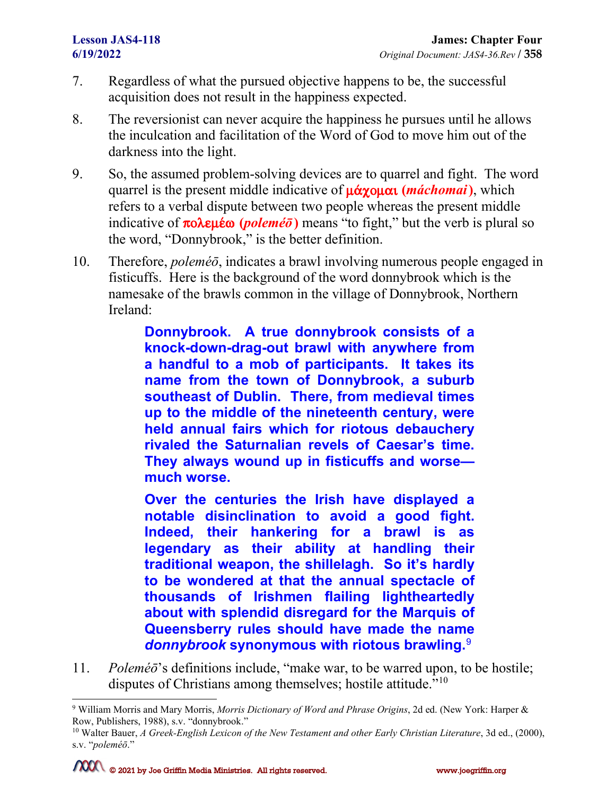- 7. Regardless of what the pursued objective happens to be, the successful acquisition does not result in the happiness expected.
- 8. The reversionist can never acquire the happiness he pursues until he allows the inculcation and facilitation of the Word of God to move him out of the darkness into the light.
- 9. So, the assumed problem-solving devices are to quarrel and fight. The word quarrel is the present middle indicative of  $\mu$ *óx*  $\alpha$  (*máchomai*), which refers to a verbal dispute between two people whereas the present middle indicative of  $\pi$ o $\lambda \in \mathfrak{g}$  (*poleméo*) means "to fight," but the verb is plural so the word, "Donnybrook," is the better definition.
- 10. Therefore, *poleméō*, indicates a brawl involving numerous people engaged in fisticuffs. Here is the background of the word donnybrook which is the namesake of the brawls common in the village of Donnybrook, Northern Ireland:

**Donnybrook. A true donnybrook consists of a knock-down-drag-out brawl with anywhere from a handful to a mob of participants. It takes its name from the town of Donnybrook, a suburb southeast of Dublin. There, from medieval times up to the middle of the nineteenth century, were held annual fairs which for riotous debauchery rivaled the Saturnalian revels of Caesar's time. They always wound up in fisticuffs and worse much worse.**

**Over the centuries the Irish have displayed a notable disinclination to avoid a good fight. Indeed, their hankering for a brawl is as legendary as their ability at handling their traditional weapon, the shillelagh. So it's hardly to be wondered at that the annual spectacle of thousands of Irishmen flailing lightheartedly about with splendid disregard for the Marquis of Queensberry rules should have made the name**  *donnybrook* **synonymous with riotous brawling.**[9](#page-1-0)

11. *Poleméō*'s definitions include, "make war, to be warred upon, to be hostile; disputes of Christians among themselves; hostile attitude."<sup>[10](#page-1-1)</sup>

<span id="page-1-0"></span><sup>9</sup> William Morris and Mary Morris, *Morris Dictionary of Word and Phrase Origins*, 2d ed. (New York: Harper & Row, Publishers, 1988), s.v. "donnybrook."

<span id="page-1-1"></span><sup>10</sup> Walter Bauer, *A Greek-English Lexicon of the New Testament and other Early Christian Literature*, 3d ed., (2000), s.v. "*poleméō*."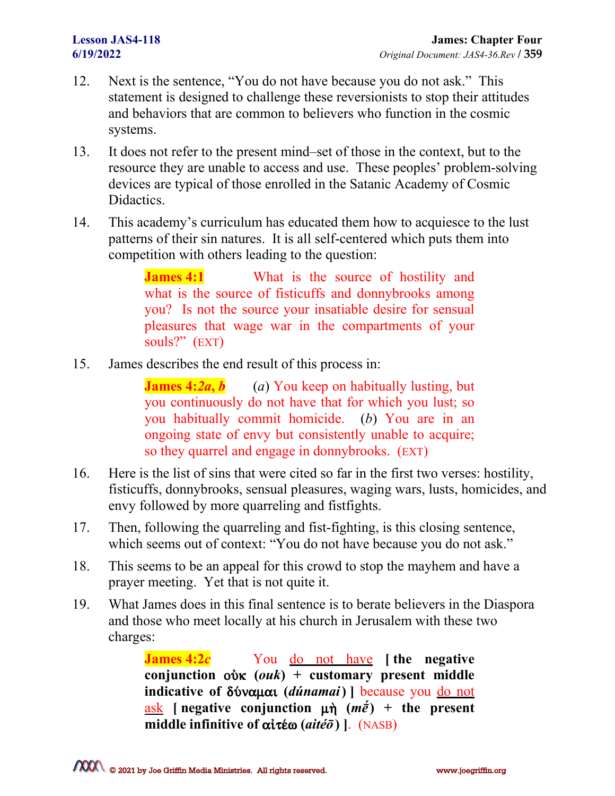- 12. Next is the sentence, "You do not have because you do not ask." This statement is designed to challenge these reversionists to stop their attitudes and behaviors that are common to believers who function in the cosmic systems.
- 13. It does not refer to the present mind–set of those in the context, but to the resource they are unable to access and use. These peoples' problem-solving devices are typical of those enrolled in the Satanic Academy of Cosmic Didactics.
- 14. This academy's curriculum has educated them how to acquiesce to the lust patterns of their sin natures. It is all self-centered which puts them into competition with others leading to the question:

**James 4:1** What is the source of hostility and what is the source of fisticuffs and donnybrooks among you? Is not the source your insatiable desire for sensual pleasures that wage war in the compartments of your souls?" (EXT)

15. James describes the end result of this process in:

**James 4:2a, b** (*a*) You keep on habitually lusting, but you continuously do not have that for which you lust; so you habitually commit homicide. (*b*) You are in an ongoing state of envy but consistently unable to acquire; so they quarrel and engage in donnybrooks. (EXT)

- 16. Here is the list of sins that were cited so far in the first two verses: hostility, fisticuffs, donnybrooks, sensual pleasures, waging wars, lusts, homicides, and envy followed by more quarreling and fistfights.
- 17. Then, following the quarreling and fist-fighting, is this closing sentence, which seems out of context: "You do not have because you do not ask."
- 18. This seems to be an appeal for this crowd to stop the mayhem and have a prayer meeting. Yet that is not quite it.
- 19. What James does in this final sentence is to berate believers in the Diaspora and those who meet locally at his church in Jerusalem with these two charges:

**James 4:2***c* You do not have **[ the negative conjunction** oÙk **(***ouk***) + customary present middle indicative of** dÚnamai **(***dúnamai***) ]** because you do not ask **[** negative conjunction  $\mu \hat{n}$  ( $m\hat{e}$ ) + the present **middle infinitive of** a"tšw **(***aitéō***) ]**. (NASB)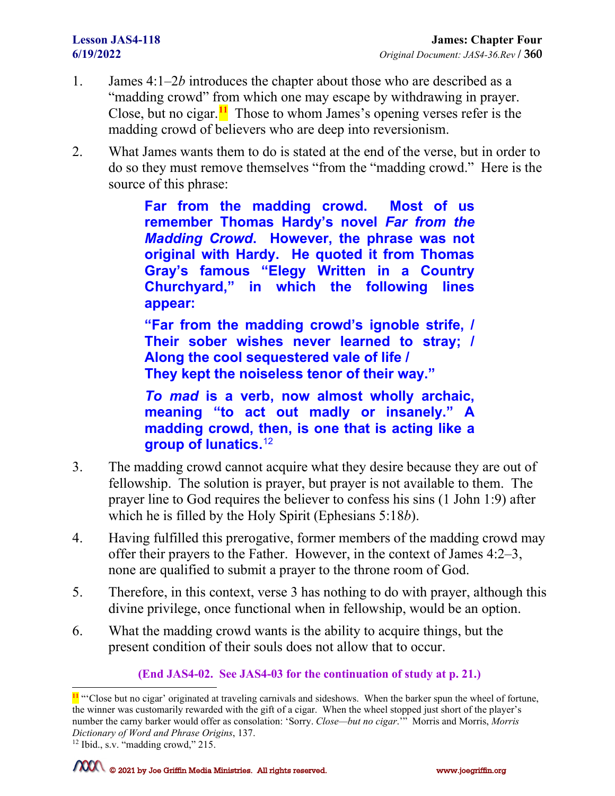- 1. James 4:1–2*b* introduces the chapter about those who are described as a "madding crowd" from which one may escape by withdrawing in prayer. Close, but no cigar.**[11](#page-3-0)** Those to whom James's opening verses refer is the madding crowd of believers who are deep into reversionism.
- 2. What James wants them to do is stated at the end of the verse, but in order to do so they must remove themselves "from the "madding crowd." Here is the source of this phrase:

**Far from the madding crowd. Most of us remember Thomas Hardy's novel** *Far from the Madding Crowd***. However, the phrase was not original with Hardy. He quoted it from Thomas Gray's famous "Elegy Written in a Country Churchyard," in which the following lines appear:**

**"Far from the madding crowd's ignoble strife, / Their sober wishes never learned to stray; / Along the cool sequestered vale of life / They kept the noiseless tenor of their way."**

*To mad* **is a verb, now almost wholly archaic, meaning "to act out madly or insanely." A madding crowd, then, is one that is acting like a group of lunatics.**[12](#page-3-1)

- 3. The madding crowd cannot acquire what they desire because they are out of fellowship. The solution is prayer, but prayer is not available to them. The prayer line to God requires the believer to confess his sins (1 John 1:9) after which he is filled by the Holy Spirit (Ephesians 5:18*b*).
- 4. Having fulfilled this prerogative, former members of the madding crowd may offer their prayers to the Father. However, in the context of James 4:2–3, none are qualified to submit a prayer to the throne room of God.
- 5. Therefore, in this context, verse 3 has nothing to do with prayer, although this divine privilege, once functional when in fellowship, would be an option.
- 6. What the madding crowd wants is the ability to acquire things, but the present condition of their souls does not allow that to occur.

### **(End JAS4-02. See JAS4-03 for the continuation of study at p. 21.)**

<span id="page-3-0"></span><sup>&</sup>lt;sup>11</sup> "Close but no cigar' originated at traveling carnivals and sideshows. When the barker spun the wheel of fortune, the winner was customarily rewarded with the gift of a cigar. When the wheel stopped just short of the player's number the carny barker would offer as consolation: 'Sorry. *Close—but no cigar*.'" Morris and Morris, *Morris Dictionary of Word and Phrase Origins*, 137.

<span id="page-3-1"></span><sup>12</sup> Ibid., s.v. "madding crowd," 215.